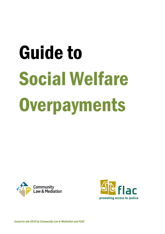# Guide to Social Welfare **Overpayments**





Issued in July 2015 by Community Law & Mediation and FLAC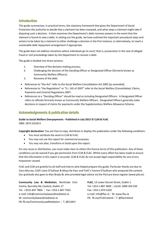# Introduction

This guide summarises, in practical terms, the statutory framework that gives the Department of Social Protection the authority to decide that a claimant has been overpaid, and what steps a claimant might take if disputing such a decision. It then examines the Department's debt recovery powers in the event that the claimant is found to owe a debt. In setting out the guide, we have outlined the important procedural steps and actions to be taken by a claimant to either challenge a decision in the first instance, or alternatively, to reach a sustainable debt repayment arrangement if appropriate.

The guide does not address situations where individuals go to court; that is, prosecution in the case of alleged fraud or civil proceedings taken by the Department to recover a debt.

The guide is divided into three sections.

- 1. Overview of the decision-making process;
- 2. Challenging the decision of the Deciding Officer or Designated Officer [formerly known as Community Welfare Officers];
- 3. Recovery of the debt.
- References to "the Act" refer to the Social Welfare Consolidation Act 2005 [as amended].
- References to "the Regulations" or "S.I. 142 of 2007" refer to the Social Welfare [Consolidated, Claims, Payments and Control] Regulations 2007.
- References to a "Deciding Officer" should be read as including Designated Officers. A Designated Officer refers to officials formerly known as Community Welfare Officers. Designated Officers generally make decisions in respect of claims for payments under the Supplementary Welfare Allowance Scheme.

# Acknowledgements & publication details

#### **Guide to Social Welfare Overpayments - Published in July 2015 © CLM & FLAC** ISBN: 1873 53230 X

**Copyright declaration**: You are free to copy, distribute or display this publication under the following conditions:

- You must attribute the work to CLM & FLAC.
- You may not use this report for commercial purposes.
- You may not alter, transform or build upon this report.

For any reuse or distribution, you must make clear to others the licence terms of this publication. Any of these conditions can be waived if you get permission from CLM & FLAC. Whilst every effort has been made to ensure that the information in this report is accurate, CLM & FLAC do not accept legal responsibility for any errors, howsoever caused.

FLAC and CLM are grateful to all staff and interns who helped prepare this guide. Particular thanks are due to Ciara Murray, CLM's Jane O'Sullivan & Moya De Paor and FLAC's Yvonne O'Sullivan who prepared the content. Our gratitude also goes to Alan Brady BL who provided legal advice via the PILA pro bono register [\(www.pila.ie\)](http://www.pila.ie/).

**Community Law & Mediation**, Northside Civic Centre, Bunratty Rd, Coolock, Dublin 17 Tel: +3531-847 7804 | Fax: +353-1-847 7563 e-mail[: info@communitylawandmediation.ie](mailto:info@communitylawandmediation.ie)  W: communitylawandmediation.ie FB: fb.me/CommunityLawMediation | T: [@CLMirl](https://twitter.com/CLMirl)

**FLAC**, 13 Lower Dorset Street, Dublin 1 Tel: +353-1-887 3600 | LoCall: 1890 350 250 Fax: +353-1-874 5320 e-mail: info@flac.ie | W: www.flac.ie FB: fb.me/FLACIreland | T: @flacireland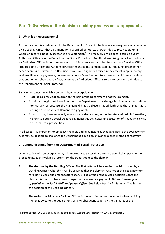# **1. What is an overpayment?**

An overpayment is a debt owed to the Department of Social Protection as a consequence of a decision by a Deciding Officer that a claimant, for a specified period, was not entitled to receive, either in whole or in part, a benefit, assistance or supplement.<sup>[1](#page-2-0)</sup> The recovery of this debt is carried out by Authorised Officers in the Department of Social Protection. An official exercising his or her function as an Authorised Officer is not the same as an official exercising his or her function as a Deciding Officer. (The Deciding Officer and Authorised Officer might be the same person, but the functions in either capacity are quite different. A Deciding Officer, or Designated Officer in the case of Supplementary Welfare Allowance payments, determines a person's entitlement to a payment and from what date that entitlement should take effect, whereas an Authorised Officer's role is to recover a debt due to the Department of Social Protection.)

The circumstances in which a person might be overpaid vary:

- It can be as a result of an **error** on the part of the Department or of the claimant.
- A claimant might not have informed the Department of a **change in circumstances** either intentionally or because the claimant did not believe in good faith that the change had a bearing on his or her entitlement to a payment.
- A person may have knowingly made a **false declaration, or deliberately witheld information,**  in order to obtain a social welfare payment; this act invites an accusation of fraud, which may in turn lead to a prosecution.

In all cases, it is important to establish the facts and circumstances that gave rise to the overpayment, as it may be possible to challenge the Department's decision and/or proposed method of recovery.

#### **2. Communications from the Department of Social Protection**

When dealing with an overpayment, it is important to stress that there are two distinct parts to the proceedings, each involving a letter from the Department to the claimant.

1. **The decision by the Deciding Officer:** The first letter will be a revised decision issued by a Deciding Officer, whereby it will be asserted that the claimant was not entitled to a payment for a particular period for specific reason/s. The effect of the revised decision is that the claimant is found to have been overpaid a social welfare payment. *This decision may be appealed to the Social Welfare Appeals Office*. See below Part 2 of this guide, 'Challenging the decision of the Deciding Officer'.

The revised decision by a Deciding Officer is the most important document when deciding if money is owed to the Department, as any subsequent action by the claimant, or the

<span id="page-2-0"></span> $1$  Refer to Sections 301, 302, and 335 to 338 of the Social Welfare Consolidation Act 2005 [as amended].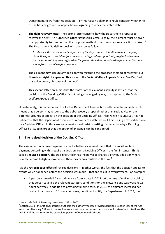Department, flows from this decision. For this reason a claimant should consider whether he or she has any grounds of appeal before agreeing to repay the stated debt.

2. **The debt recovery letter:** The second letter concerns how the Department proposes to recover the debt. An Authorised Officer issues this letter. Legally, the claimant must be given the opportunity to comment on the proposed method of recovery before any action is taken. <sup>[2](#page-3-0)</sup> The Department Guidelines deal with the issue as follows:

> *In all cases, the person must be informed of the Department's intention to make ongoing deductions from a social welfare payment and offered the opportunity to give his/her views on the proposal. Any views offered by the person should be considered before deductions are made from a social welfare payment.*

The claimant may dispute any decision with regard to the proposed method of recovery, but **there is no right of appeal on this issue to the Social Welfare Appeals Office**. See Part 3 of this guide below, 'Recovery of the debt'.

This second letter presumes that the matter of the claimant's liability is settled, that the decision of the Deciding Officer is not being challenged by way of an appeal to the Social Welfare Appeals Office.

Unfortunately, it is common practice for the Department to issue both letters on the same date. This means that a person may respond to the debt recovery proposal rather than seek advice on any potential grounds of appeal on the decision of the Deciding Officer. Also, while it is unusual, it is not unheard of that the Department commences recovery of a debt without first issuing a revised decision by a Deciding Officer. In this case, a claimant should insist **in writing** that a decision by a Deciding Officer be issued in order that the option of an appeal can be considered.

# **3. The revised decision of the Deciding Officer**

The assessment of an overpayment is about whether a claimant is entitled to a social welfare payment. Accordingly, this requires a decision from a Deciding Officer in the first instance. This is called a **revised decision**. The Deciding Officer has the power to change a previous decision where new facts come to light and/or where there has been a mistake in the law.<sup>[3](#page-3-1)</sup>

It is the **retrospective effect** of revised decisions – in other words, the fact that the decision applies to events which happened before the decision was made – that can result in overpayment. For example:

• A person is awarded Carers Allowance from a date in 2012. At the time of making the claim, that person satisfied the relevant statutory conditions for the allowance and was working 15 hours per week in addition to providing full-time care. In 2013, the claimant increased her hours of paid work to 20 hours per week, but did not notify the Department. In 2014, the

<span id="page-3-1"></span><span id="page-3-0"></span><sup>&</sup>lt;sup>2</sup> See Article 242 of Statutory Instrument 142 of 2007.<br><sup>3</sup> Section 301 of the Act gives Deciding Officers the authority to issue revised decisions. Section 302 of the Act authorises Deciding Officers to determine from what date the revised decision should take effect. Sections 324 and 325 of the Act refer to the equivalent powers of Designated Officers.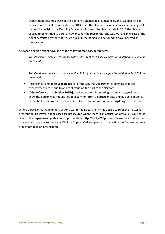Department became aware of the claimant's change in circumstances, and issued a revised decision with effect from the date in 2013 when the claimant's circumstances first changed. In issuing the decision, the Deciding Officer would assert that from a date in 2013 the claimant ceased to be entitled to Carers Allowance for the reason that she was working in excess of the hours permitted by the statute. As a result, the person will be found to have incurred an overpayment.

A revised decision might have one of the following statutory references:

*This decision is made in accordance with s. 302 [a] of the Social Welfare Consolidation Act 2005 [as amended]* 

or

*This decision is made in accordance with s. 302 [b] of the Social Welfare Consolidation Act 2005 [as amended]* 

- If reference is made to **Section 302 [a]** of the Act, the Department is claiming that the overpayment arose due to an act of fraud on the part of the claimant.
- If the reference is to **Section 302[b],** the Department is asserting that new facts/evidence show the person was not entitled to a payment from a particular date and as a consequence he or she has incurred an overpayment. There is no accusation of wrongdoing in this instance.

Where a decision is made under Section 302 [a], the Department may decide to refer the matter for prosecution. However, not all cases are prosecuted where there is an accusation of fraud – you should refer to the Department guidelines for prosecution [\(http://bit.ly/DSPprosec\)](http://bit.ly/DSPprosec). Please note that you can proceed with appeals to the Social Welfare Appeals Office separate to any action the Department may or may not take on prosecution.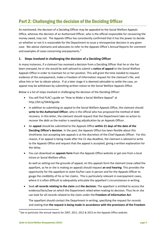# Part 2: Challenging the decision of the Deciding Officer

As mentioned, the decision of a Deciding Officer may be appealed to the Social Welfare Appeals Office, whereas the decision of an Authorised Officer, who is the official responsible for recovering the money owed, may not. The Appeals Office has consistently confirmed that it has the power to decide on whether or not it is reasonable for the Department to issue a retrospective decision in any given case. We advise claimants and advocates to refer to the Appeals Office's Annual Reports for comment and examples of cases concerning overpayments.<sup>[4](#page-5-0)</sup>

# **1. Steps involved in challenging the decision of a Deciding Officer**

In many instances, if a claimant has received a decision from a Deciding Officer that he or she has been overpaid, he or she would be well advised to submit a **notice of appeal** to the Social Welfare Appeals Office in order to maintain his or her position. This will grant the time needed to request evidence of the overpayment, make a Freedom of Information request for the claimant's file, and allow him or her to obtain advice. If at a later stage it is deemed advisable to settle the case, an appeal may be withdrawn by submitting written notice to the Social Welfare Appeals Office.

Below is a list of steps involved in challenging the decision of the Deciding Officer:

- You will find FLAC's guide on "How to Make a Social Welfare Appeal" at [http://bit.ly/SWAOguide.](http://bit.ly/SWAOguide)
- In addition to submitting an appeal to the Social Welfare Appeals Office, the claimant should **write to the Authorised Officer**, who is the official who has proposed the method of debt recovery. In this letter, the claimant should request that the Department take no action to recover the debt as the matter is awaiting adjudication by an Appeals Officer.
- An **appeal** should be submitted to the Appeals Office **within 21 days of the date of the Deciding Officer's decision**. In the past, the Appeals Office has been flexible about this timeframe, but accepting late appeals is at the discretion of the Chief Appeals Officer. For this reason, if an appeal is being made after the 21-day deadline, the claimant is advised to write to the Appeals Office and request that the appeal is accepted, giving a written explanation for the delay.
- You can download an **appeals form** from the Appeals Office website or get one from a local Intreo or Social Welfare office.

As well as setting out the grounds of appeal, on this appeals form the claimant (now called the appellant, as he or she is making an appeal) should request **an oral hearing**: This provides the opportunity for the appellant to state his/her case in person and for the Appeals Officer to gauge the credibility of his or her claims. This is particularly relevant in overpayment cases, where it is often difficult to adequately articulate the appellant's circumstances in writing.

• Seek **all records relating to the claim** and **the decision**: The appellant is entitled to access the evidence/facts/law on which the Department relied when making its decision. Thus he or she can look for all records related to the claim under the **Freedom of Information Act**.

The appellant should contact the Department in writing, specifying the request for records and stating that **the request is being made in accordance with the provisions of the Freedom** 

<span id="page-5-0"></span><sup>&</sup>lt;sup>4</sup> See in particular the annual reports for 2007, 2011, 2012 & 2013 on the Appeals Office website.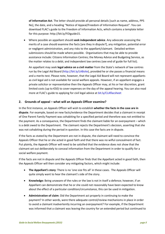**of Information Act**. The letter should provide all personal details [such as name, address, PPS No], the date, and a heading "Notice of Appeal/Freedom of Information Request". You can download FLAC's guide to the Freedom of Information Acts, which contains a template letter for this purpose: [http://bit.ly/FOIguide15.](http://bit.ly/FOIguide15)

• Where possible an appellant should **seek independent advice**. Any advocate assessing the merits of a case should examine the facts [are they in dispute?], any mitigation, potential error or negligent administration, and any risks to the appellant/claimant. Detailed written submissions should be made where possible. Organisations that may be able to provide assistance include: Citizens Information Centres; the Money Advice and Budgeting Service, as the matter relates to a debt; and independent law centres (see end of guide for full list).

An appellant may seek **legal advice on a civil matter** from the State's network of law centres run by the Legal Aid Board [\(http://bit.ly/LABsite\)](http://bit.ly/LABsite), provided he or she passes a financial means and a merits test. Please note, however, that the Legal Aid Board will not represent appellants as civil legal aid is not available for social welfare appeals. However, if an appellant engages a private solicitor or representative then the Appeals Officer may, at his or her discretion, grant limited costs (up to €50) to cover expenses on the day of the appeal hearing. You can also read more at FLAC's guide to applying for civil legal advice at [bit.ly/CLAflacsheet](http://www.flac.ie/publications/civil-legal-aid-guide/)

# **2. Grounds of appeal – what will an Appeals Officer examine?**

In the first instance, an Appeals Officer will wish to establish **whether the facts in the case are in dispute**. For example, based on new facts/evidence the Department decides that a claimant in receipt of One Parent Family Payment was cohabiting for a specified period and therefore was not entitled to the payment. As a consequence, the Department finds the claimant liable for an overpayment – which is a debt owed to the Department. The claimant rejects the Department's decision, asserting that she was not cohabiting during the period in question. In this case the facts are in dispute.

If the facts as stated by the Department are not in dispute, the claimant will need to convince the Appeals Officer that he or she acted in good faith and that there was no wilful concealment of fact. Put plainly, the Appeals Officer will need to be satisfied that the evidence does not show that the claimant set out deliberately to conceal information from the Department in order to qualify for a social welfare payment.

If the facts are not in dispute and the Appeals Officer finds that the Appellant acted in good faith, then the Appeals Officer will then consider any mitigating factors, which might include:

- **The Appellant's story**: There is no 'one size fits all' in these cases. The Appeals Officer will quite simply want to hear the claimant's side of the story.
- **Knowledge:** Being unaware of the rules or the law is not in itself a defence; however, if an Appellant can demonstrate that he or she could not reasonably have been expected to know about the effect of a particular condition/circumstance, this can be used in mitigation.
- **Administration of claim**: Did the Department act properly in continuing to make the payment? In other words, were there adequate control/review mechanisms in place in order to avoid a claimant inadvertently incurring an overpayment? For example, if the Department was informed that a claimant was leaving the country for an extended period but continued to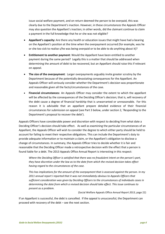issue social welfare payment, and on return deemed the person to be overpaid, this was clearly due to the Department's inaction. However, in these circumstances the Appeals Officer may also question the Appellant's inaction; in other words, did the claimant continue to claim a payment in the full knowledge that he or she was not eligible?

- **Appellant's capacity:** Are there any health or education issues that might have had a bearing on the Appellant's position at the time when the overpayment occurred (for example, was he or she too sick to realise s/he was being overpaid or to be able to do anything about it)?
- **Entitlement to another payment**: Would the Appellant have been entitled to another payment during the same period? Legally this is a matter that should be addressed when determining the amount of debt to be recovered, but an Appellant should raise this if relevant on appeal.
- **The size of the overpayment**: Larger overpayments arguably invite greater scrutiny by the Department because of the potentially devastating consequences for the Appellant. An Appeals Officer will seriously consider whether the Department's decision was proportionate and reasonable given all the facts/circumstances of the case.
- **Financial circumstances:** An Appeals Officer may consider the extent to which the appellant will be affected by the consequences of the Deciding Officer's decision; that is, will recovery of the debt cause a degree of financial hardship that is unwarranted or unreasonable. For this reason it is advisable that an appellant prepare detailed evidence of their financial circumstances for submission on appeal (see Part 3 below, under section 2, 'Responding to the Department's proposal to recover the debt').

Appeals Officers have considerable power and discretion with respect to deciding from what date a Deciding Officer's decision should take effect. As well as examining the particular circumstances of an Appellant, the Appeals Officer will wish to consider the degree to which either party should be held to account for failing to meet their respective obligations. This can include the Department's duty to provide adequate information or to maintain a claim, or the Appellant's obligation to disclose a change of circumstances. In summary, the Appeals Officer tries to decide whether it is fair and reasonable that the Deciding Officer made a retrospective decision with the effect that a person is found liable for a debt. The 2013 Appeals Office Annual Report is interesting in this respect:

*Where the Deciding Officer is satisfied that there was no fraudulent intent on the person's part, they have discretion under the law as to the date from which the revised decision takes effect having regard to the circumstances of the case.*

*This has implications for the amount of the overpayment that is assessed against the person. In my 2011 annual report I reported that it was not immediately obvious to Appeals Officers that sufficient consideration was given by Deciding Officers to the circumstances of individuals cases in determining the date from which a revised decision should take effect. This issue continues to present as a problem.*

(Social Welfare Appeals Office *Annual Report 2013*, page 22)

If an Appellant is successful, the debt is cancelled. If the appeal is unsuccessful, the Department can proceed with recovery of the debt – see the next section.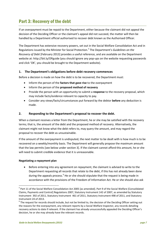# Part 3: Recovery of the debt

If an overpayment must be repaid to the Department, either because the claimant did not appeal the decision of the Deciding Officer or the claimant's appeal did not succeed, the matter will then be handled by a Department official authorised to recover debt known as the Authorised Officer.

The Department has extensive recovery powers, set out in the Social Welfare Consolidation Act and in Regulations issued by the Minister for Social Protection.[5](#page-8-0) The Department's *Guidelines on the Recovery of Debt* [February 2013] provides a useful reference, and are available on the Department website at:<http://bit.ly/OPguide> (you should ignore any pop-ups on the website requesting passwords and click 'OK', you should be brought to the Department website).

# **1. The Department's obligations before debt recovery commences**

Before a decision is made on how the debt is to be recovered, the Department must:

- Inform the person of the **factors that gave rise** to the overpayment
- Inform the person of the **proposed method of recovery**
- Provide the person with an opportunity to submit a **response** to the recovery proposal, which may include facts/evidence relevant to capacity to pay.
- Consider any views/facts/circumstances put forward by the debtor **before** any deduction is made.

# **2. Responding to the Department's proposal to recover the debt.**

When a claimant receives a letter from the Department, he or she may be satisfied with the recovery terms; that is, the amount of the debt and the proposed method of recovery. Alternatively, the claimant might not know what the debt refers to, may query the amount, and may regard the proposal to recover the debt as unsustainable.

If the amount of the overpayment is undisputed, the next matter to be dealt with is how much is to be recovered on a weekly/monthly basis. The Department will generally propose the maximum amount that the law permits [see below under section 3]. If the claimant cannot afford this amount, he or she will need to submit credible evidence that it is unreasonable.

#### **Negotiating a repayment plan**

• Before entering into any agreement on repayment, the claimant is advised to write to the Department requesting all records that relate to the debt, if this has not already been done during the appeals process.<sup>[6](#page-8-1)</sup> He or she should stipulate that the request is being made in accordance with the provisions of the Freedom of Information Act. He or she should also ask

<span id="page-8-0"></span> <sup>5</sup> Part 11 of the Social Welfare Consolidation Act 2005 [as amended]. Part 9 of the Social Welfare [Consolidated Claims, Payments and Control] Regulations 2007, Statutory Instrument 142 of 2007, as amended by Statutory Instrument 392 of 2011, Statutory Instrument 461 of 2011, Statutory Instrument 498 of 2011, and Statutory Instrument 24 of 2013.

<span id="page-8-1"></span> $6$  The request for records should include, but not be limited to, the decision of the Deciding Officer setting out the reasons for the overpayment, any relevant reports by a Social Welfare Inspector, any records detailing recovery actions to date if relevant. If the claimant has already unsuccessfully appealed the Deciding Officer's decision, he or she may already have the relevant records.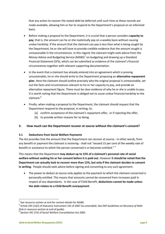that any action to recover the stated debt be deferred until such time as these records are made available, allowing him or her to respond to the Department's proposal on an informed basis.

- Before making a proposal to the Department, it is crucial that a person considers **capacity to pay**; that is, the amount can he or she realistically pay on a weekly basis without causing undue hardship. If the amount that the claimant can pay is less than what is being sought by the Department, he or she will have to provide credible evidence that the amount sought is unreasonable in the circumstances. In this regard, the claimant might seek advice from the Money Advice and Budgeting Service (MABS)<sup>[7](#page-9-0)</sup> on budgeting and drawing up a Standard Financial Statement (SFS), which can be submitted as evidence of the claimant's financial circumstances together with relevant supporting documentation.
- In the event that a claimant has already entered into an agreement which is proving unsustainable, he or she should write to the Department proposing an **alternative repayment plan**. Here the claimant should outline precisely why the original proposal is unreasonable, set out the facts and circumstances relevant to his or her capacity to pay, and provide an alternative repayment figure. There must be clear evidence of why he or she is unable to pay**.**  It is worth noting that the Department is obliged not to cause undue financial hardship to the claimant.<sup>[8](#page-9-1)</sup>
- Finally, when making a proposal to the Department, the claimant should request that the Department respond to the proposal, in writing, to:
	- [a] confirm acceptance of the claimant's repayment offer, or if rejecting the offer,
	- [b] to provide written reasons for so doing.

# **3. How much can the Department recover at source without the claimant's consent?**

#### **3.1 Deductions from Social Welfare Payments**

The Act provides that the amount that the Department can recover at source - in other words, from any benefit or payment the claimant is receiving - shall not "exceed 15 per cent of the weekly rate of benefit or assistance to which the person concerned is or becomes entitled." <sup>[9](#page-9-2)</sup>

This means that the Department **may deduct up to 15% of a claimant's personal rate of social welfare without seeking his or her consent before it is paid out.** However **it should be noted that the Department can actually look to recover more than 15%, but only if the claimant decides to consent in writing.** People should seek advice before signing and consenting to any such agreement.

• The power to deduct at source only applies to the payment to which the claimant concerned is personally entitled. This means that amounts cannot be recovered from increases paid in respect of any dependants. In the case of Child Benefit, **deductions cannot be made unless the debt relates to a Child Benefit overpayment**.

<span id="page-9-0"></span>See resource section at end for contact details for MABS.

<span id="page-9-1"></span><sup>8</sup> Article 245 [1][ii] of Statutory Instrument 142 of 2007 [as amended]. See DSP *Guidelines on Recovery of Debt* (link in resource section at end of guide).

<span id="page-9-2"></span>Section 341 [7A] of Social Welfare Consolidation Act 2005.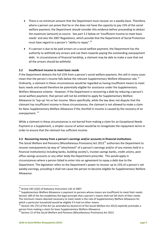- There is no minimum amount that the Department must recover on a weekly basis. Therefore, where a person can prove that he or she does not have the capacity to pay 15% of the social welfare payment, the Department should consider this evidence before proceeding to deduct the maximum (amount) at source. See part 3.2 below on 'Insufficient income to meet basic needs' and also the 2007 Regulations, which provide that the Department of Social Protection must have regard to a person's "ability to repay".<sup>[10](#page-10-0)</sup>
- If a person is due to be paid arrears on a social welfare payment, the Department has the authority to withhold any arrears and use them towards paying the outstanding overpayment debt. In circumstances of financial hardship, a claimant may be able to make a case that not all the arrears should be withheld.

# **3.2 Insufficient income to meet basic needs**

If the Department deducts the full 15% from a person's social welfare payment, this will in many cases mean that the person's income falls below the relevant Supplementary Welfare Allowance rate.<sup>[11](#page-10-1)</sup> Ordinarily, a claimant in these circumstances would be regarded as having insufficient means to meet basic needs and would therefore be potentially eligible for assistance under the Supplementary Welfare Allowance scheme. However, if the Department is recovering a debt by reducing a person's social welfare payment, that person will not be entitled to apply for Supplementary Welfare Allowance to 'top-up' his or her income. More specifically, while the law does not dispute that the claimant has insufficient income in these circumstances, the claimant is not allowed to make a claim for Basic Supplementary Welfare Allowance if the shortfall in income is caused by the recovery of an overpayment. [12](#page-10-2)

While a claimant in these circumstances is not barred from making a claim for an Exceptional Needs Payment or a Supplement, a simpler course of action would be to renegotiate the repayment terms in order to ensure that the claimant has sufficient income.

# **3.3 Recovering money from a person's earnings and/or accounts in financial institutions**

The Social Welfare and Pensions (Miscellaneous Provisions) Act 20[13](#page-10-3)<sup>13</sup> authorises the Department to recover overpayments by way of "attachment" of a person's earnings and/or of any monies held in a financial institution(s) including banks, building society's, trustee savings banks, credit unions, post office savings accounts or any other body the Department prescribe. This would apply in circumstances where a person failed to enter into an agreement to repay a debt due to the Department. The legislation refers to the Department's power to recover up to 15% of a person's net weekly earnings, providing it shall not cause the person to become eligible for Supplementary Welfare Allowance.

<span id="page-10-1"></span><span id="page-10-0"></span><sup>&</sup>lt;sup>10</sup> Article 245 [1][ii] of Statutory Instrument 142 of 2007.<br><sup>11</sup> Supplementary Welfare Allowance is payment to persons whose means are insufficient to meet their needs. Section 189 of the Act establishes the legal principle that a person's means shall not fall short of their needs. The minimum means deemed necessary to meet needs is the rate of Supplementary Welfare Allowance for which a particular household would be eligible if it had no other means.

<span id="page-10-2"></span><sup>&</sup>lt;sup>12</sup> Section 341 [7C] of the Act [as amended by Section13 of the Social Welfare Act 2012] explicitly precludes a person from making a claim for basic Supplementary Welfare Allowance.<br><sup>13</sup> Section 15 of the Social Welfare and Pensions (Miscellaneous Provisions) Act 2013.

<span id="page-10-3"></span>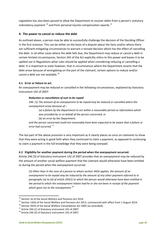Legislation has also been passed to allow the Department to recover debts from a person's statutory redundancy payment  $^{14}$  $^{14}$  $^{14}$  and from personal injuries compensation awards.<sup>[15](#page-11-1)</sup>

# **4. The power to cancel or reduce the debt**

As outlined above, a person may be able to successfully challenge the decision of the Deciding Officer in the first instance. This can be either on the basis of a dispute about the facts and/or where there are sufficient mitigating circumstances to warrant a revised decision which has the effect of cancelling the debt. In all other cases where the debt falls due, the Department may reduce or cancel a debt in certain limited circumstances. Section 342 of the Act explicitly refers to this power and leaves it to be spelled out in Regulations what rules should be applied when considering reducing or cancelling a debt. It is important to state however, that in circumstances where the Department asserts that the debt arose because of wrongdoing on the part of the claimant, certain options to reduce and/or cancel a debt are not available.<sup>[16](#page-11-2)</sup>

#### **4.1 Error or failure to act**

An overpayment may be reduced or cancelled in the following circumstances, explained by Statutory Instrument 142 of 2007:

#### *Reduction or cancellation of sum to be repaid*

*246. (1) The amount of an overpayment to be repaid may be reduced or cancelled where the overpayment arose because of –* 

*(a) a failure by the Department to act within a reasonable period on information which was provided by or on behalf of the person concerned, or (b) an error by the Department,* 

*and the person concerned could not reasonably have been expected to be aware that a failure or error had occurred.* [17](#page-11-3)

The last part of the above provision is very important as it clearly places an onus on claimants to show that they were acting in good faith when they continued to claim a payment, as opposed to continuing to claim a payment in the full knowledge that they were being overpaid.

#### **4.2 Eligibility for another payment during the period when the overpayment occurred.**

Article 246 [3] of Statutory Instrument 142 of 2007 provides that an overpayment may be reduced by the amount of another social welfare payment that the claimant would otherwise have been entitled to during the period when the overpayment occurred.

*(3) Other than in the case of a person to whom section 342A applies, the amount of an overpayment to be repaid may be reduced by the amount of any other payment referred to in paragraphs (a) to (d) of article 245(1) to which the person would otherwise have been entitled in the period to which the overpayment relates had he or she not been in receipt of the payment which gave rise to the overpayment.*[18](#page-11-4)

<span id="page-11-1"></span><span id="page-11-0"></span><sup>&</sup>lt;sup>14</sup> Section 16 of the Social Welfare and Pensions Act 2014.<br><sup>15</sup> Section 13(d) of the Social Welfare and Pensions Act 2013, commenced with effect from 1 August 2014.<br><sup>16</sup> Section 342A of the Social Welfare Consolidation

<span id="page-11-2"></span>

<span id="page-11-4"></span><span id="page-11-3"></span>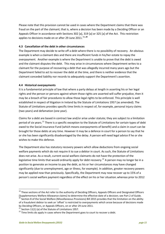Please note that this provision cannot be used in cases where the Department claims that there was fraud on the part of the claimant; that is, where a decision has been made by a Deciding Officer or an Appeals Officer in accordance with Sections 302 [a], 319 [a] or 325 [a] of the Act. This restriction applies to decisions made on or after 29 June 2011.<sup>[19](#page-12-0)</sup>,<sup>[20](#page-12-1)</sup>

#### **4.3 Cancellation of the debt in other circumstances**

The Department may decide to write off a debt where there is no possibility of recovery. An obvious example is when a claimant dies and there are insufficient funds in his/her estate to repay the overpayment. Another example is where the Department is unable to prove that the debt is owed and the claimant disputes the debt. This may arise in circumstances where Department writes to a claimant for the purpose of recovering a debt that was allegedly incurred many years ago but the Department failed to act to recover the debt at the time, and there is neither evidence that the claimant conceded liability nor records to adequately support the Department's assertion.

#### **4.4 Historical overpayments**

It is a fundamental principle of law that where a party delays at length in asserting his or her legal rights and the person or persons against whom those rights are asserted will suffer prejudice, then it may be a breach of fair procedures to allow those legal rights to be enforced. This principle is well established in respect of litigation in Ireland by the Statute of Limitations 1957 (as amended). The Statute of Limitations provides specific time limits in respect of, for example, personal injury claims (two years) and defamation (one year).

Claims for a debt are based in contract law and/or arise under statute; they are subject to a limitation period of six years.<sup>[21](#page-12-2)</sup> There is a specific exception to the Statute of Limitations for certain types of debt owed to the Social insurance Fund (which means overpayments of benefit) and a claim in court can be brought for those debts at any time. However it may be a defence in court for a person to say that he or she has been significantly disadvantaged by the delay. A person will need legal advice if he or she wishes to make this defence.

The Department also has statutory recovery powers which allow deductions from ongoing social welfare payments which do not require it to sue a debtor in court. As such, the Statute of Limitations does not arise. As a result, current social welfare claimants do not have the protection of the legislative time limits that would ordinarily apply for debt recovery.<sup>[22](#page-12-3)</sup> A person may no longer be in a position to generate an income to pay the debt, as his or her circumstances may have changed significantly (due to unemployment, age or illness, for example). In addition, greater recovery powers may be applied now than previously. Specifically, the Department may now recover up to 15% of a person's social welfare payment regardless of the effect on his or her situation, whereas prior to 2012

<span id="page-12-0"></span><sup>&</sup>lt;sup>19</sup> These sections of the Act refer to the authority of Deciding Officers, Appeals Officers and Designated Officers [Supplementary Welfare Allowance claims] to determine the effective date of a decision; see Part 2 of Guide.

<span id="page-12-1"></span><sup>&</sup>lt;sup>20</sup> Section 8 of the Social Welfare (Miscellaneous Provisions) Bill 2015 provides that the limitation on the ability of a fraudulent debtor to seek an 'offset' is restricted to overpayments which arose because of decisions made by Deciding Officers, or Appeals Officers, on or after 29 June 2011.<br><sup>21</sup> Section 11(1) (a) of the Statute of Limitations 1957.<br><sup>22</sup> Time limits do apply in cases where the Department goes to court to recover a debt.

<span id="page-12-2"></span>

<span id="page-12-3"></span>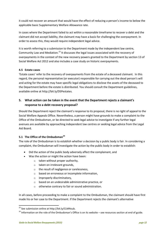it could not recover an amount that would have the effect of reducing a person's income to below the applicable basic Supplementary Welfare Allowance rate.

In cases where the Department failed to act within a reasonable timeframe to recover a debt and the claimant did not accept liability, the claimant may have a basis for challenging the overpayment. In order to assess this, they would require independent legal advice.

It is worth referring to a submission to the Department made by the independent law centre, Community Law and Mediation.<sup>[23](#page-13-0)</sup> It discusses the legal issues associated with the recovery of overpayments in the context of the new recovery powers granted to the Department by section 13 of Social Welfare Act 2012 and also includes a case study on historic overpayments.

#### **4.5 Estate cases**

'Estate cases' refer to the recovery of overpayments from the estate of a deceased claimant. In this regard, the personal representative (or executor) responsible for carrying out the dead person's will and acting for the estate may have specific legal obligations to disclose the assets of the deceased to the Department before the estate is distributed. You should consult the Department guidelines, available online at [http://bit.ly/DSPestates.](http://bit.ly/DSPestates)

# **5. What action can be taken in the event that the Department rejects a claimant's response to a debt recovery proposal?**

Should the Department reject the claimant's response to its proposal, there is no right of appeal to the Social Welfare Appeals Office. Nevertheless, a person might have grounds to make a complaint to the Office of the Ombudsman, or be directed to seek legal advice to investigate if any further legal avenues are available by approaching independent law centres or seeking legal advice from the Legal Aid Board.

# **5.1 The Office of the Ombudsman[24](#page-13-1)**

The role of the Ombudsman is to establish whether a decision by a public body is fair. In considering a complaint, the Ombudsman will investigate the action by the public body in order to establish:

- Did the action of the public body adversely affect the complainant, and
- Was the action or might the action have been:
	- $\circ$  taken without proper authority,
	- o taken on irrelevant grounds,
	- o the result of negligence or carelessness,
	- o based on erroneous or incomplete information,
	- o improperly discriminatory,
	- o based on an undesirable administrative practice, or
	- o otherwise contrary to fair or sound administration.

In all cases, before proceeding to make a complaint to the Ombudsman, the claimant should have first made his or her case to the Department. If the Department rejects the claimant's alternative

<span id="page-13-0"></span><sup>&</sup>lt;sup>23</sup> See submission online at [http://bit.ly/CLMNsub.](http://bit.ly/CLMNsub)

<span id="page-13-1"></span><sup>&</sup>lt;sup>24</sup> Information on the role of the Ombudsman's Office is on its website – see resources section at end of guide.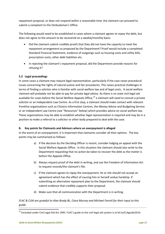repayment proposal, or does not respond within a reasonable time, the claimant can proceed to submit a complaint to the Ombudsman's Office.

The following would need to be established in cases where a claimant agrees to repay the debt, but does not agree to the amount to be recovered on a weekly/monthly basis:

- Did the claimant submit credible proofs that they did not have the capacity to meet the repayment arrangement as proposed by the Department? Proof would include a completed Standard Financial Statement, evidence of outgoings such as housing costs and utility bills, prescription costs, other debt liabilities etc.
- In rejecting the claimant's repayment proposal, did the Department provide reasons for refusing it?

#### **5.2 Legal proceedings**

In some cases a claimant may require legal representation, particularly if the case raises procedural issues concerning the rights of natural justice and fair procedures. This raises practical challenges in terms of finding a solicitor who is familiar with social welfare law and of legal costs. A social welfare claimant will probably not be able to pay for private legal advice. As there is no state civil legal aid available for cases before the Social Welfare Appeals Office, $^{25}$  $^{25}$  $^{25}$  a claimant will need to consult a private solicitor or an Independent Law Centre. As a first step, a claimant should make contact with relevant frontline organisations such as Citizens Information Centres, the Money Advice and Budgeting Service or an Independent Law Centre (see "Resources" below) which provides advice on social welfare law. These organisations may be able to establish whether legal representation is required and may be in a position to make a referral to a solicitor or other body prepared to deal with the case.

#### **6. Key points for Claimants and Advisors where an overpayment is alleged**

In the event of an overpayment, it is important that claimants consider all their options. The key points may be summarised as follows:

- a) If the decision by the Deciding Officer is recent, consider lodging an appeal with the Social Welfare Appeals Office. In this situation the claimant should also write to the Department requesting that no action be taken to recover the debt as the matter is before the Appeals Office.
- b) Always request proof of the debt in writing, and use the Freedom of Information Act to request records/the claimant's file.
- c) If the claimant agrees to repay the overpayment, he or she should not accept an agreement which has the effect of causing him or herself undue hardship. If submitting an alternative repayment plan to the Department, the claimant should submit evidence that credibly supports their proposal.
- d) Make sure that all communication with the Department is in writing.

# *FLAC & CLM are grateful to Alan Brady BL, Ciara Murray and Michael Farrell for their input to this guide.*

<span id="page-14-0"></span> $25$  Excluded under Civil Legal Aid Act 1995. FLAC's guide to the civil legal aid system is at bit.ly/CLAguide2014.